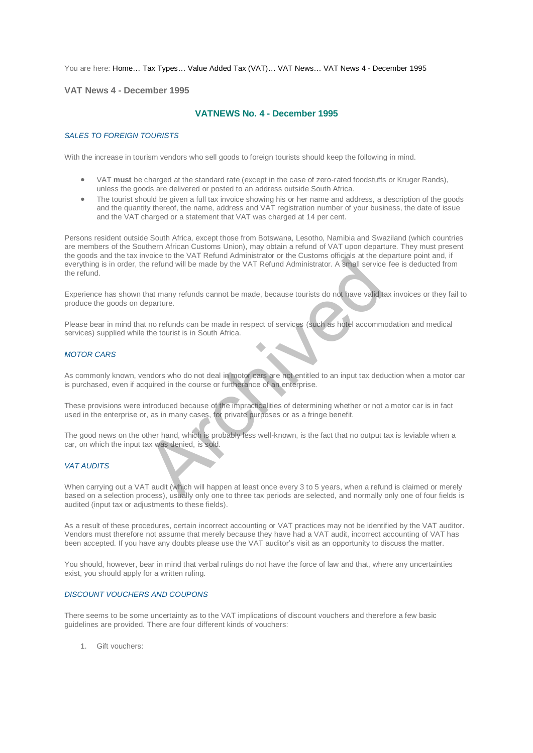You are here: [Home…](http://196.38.114.171/home.asp?pid=1) [Tax Types…](http://196.38.114.171/home.asp?pid=161) [Value Added Tax \(VAT\)…](http://196.38.114.171/home.asp?pid=194) [VAT News…](http://196.38.114.171/home.asp?pid=4722) [VAT News 4 - December 1995](http://196.38.114.171/home.asp?pid=46710) 

**VAT News 4 - December 1995** 

# **VATNEWS No. 4 - December 1995**

#### *SALES TO FOREIGN TOURISTS*

With the increase in tourism vendors who sell goods to foreign tourists should keep the following in mind.

- VAT **must** be charged at the standard rate (except in the case of zero-rated foodstuffs or Kruger Rands), unless the goods are delivered or posted to an address outside South Africa.
- The tourist should be given a full tax invoice showing his or her name and address, a description of the goods and the quantity thereof, the name, address and VAT registration number of your business, the date of issue and the VAT charged or a statement that VAT was charged at 14 per cent.

Persons resident outside South Africa, except those from Botswana, Lesotho, Namibia and Swaziland (which countries are members of the Southern African Customs Union), may obtain a refund of VAT upon departure. They must present the goods and the tax invoice to the VAT Refund Administrator or the Customs officials at the departure point and, if everything is in order, the refund will be made by the VAT Refund Administrator. A small service fee is deducted from the refund. From the refund will be made by the VAT Refund Administrator. A small service<br>that many refunds cannot be made, because tourists do not have valid to<br>that many refunds cannot be made, because tourists do not have valid to<br>

Experience has shown that many refunds cannot be made, because tourists do not have valid tax invoices or they fail to produce the goods on departure.

Please bear in mind that no refunds can be made in respect of services (such as hotel accommodation and medical services) supplied while the tourist is in South Africa.

### *MOTOR CARS*

As commonly known, vendors who do not deal in motor cars are not entitled to an input tax deduction when a motor car is purchased, even if acquired in the course or furtherance of an enterprise.

These provisions were introduced because of the impracticalities of determining whether or not a motor car is in fact used in the enterprise or, as in many cases, for private purposes or as a fringe benefit.

The good news on the other hand, which is probably less well-known, is the fact that no output tax is leviable when a car, on which the input tax was denied, is sold.

#### *VAT AUDITS*

When carrying out a VAT audit (which will happen at least once every 3 to 5 years, when a refund is claimed or merely based on a selection process), usually only one to three tax periods are selected, and normally only one of four fields is audited (input tax or adjustments to these fields).

As a result of these procedures, certain incorrect accounting or VAT practices may not be identified by the VAT auditor. Vendors must therefore not assume that merely because they have had a VAT audit, incorrect accounting of VAT has been accepted. If you have any doubts please use the VAT auditor's visit as an opportunity to discuss the matter.

You should, however, bear in mind that verbal rulings do not have the force of law and that, where any uncertainties exist, you should apply for a written ruling.

### *DISCOUNT VOUCHERS AND COUPONS*

There seems to be some uncertainty as to the VAT implications of discount vouchers and therefore a few basic guidelines are provided. There are four different kinds of vouchers:

1. Gift vouchers: